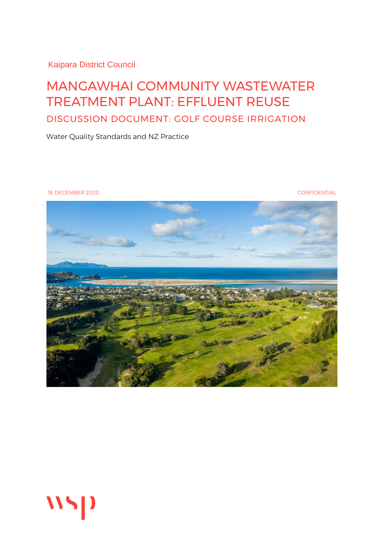Kaipara District Council

#### MANGAWHAI COMMUNITY WASTEWATER TREATMENT PLANT: EFFLUENT REUSE DISCUSSION DOCUMENT: GOLF COURSE IRRIGATION

Water Quality Standards and NZ Practice

16 DECEMBER 2020 CONFIDENTIAL



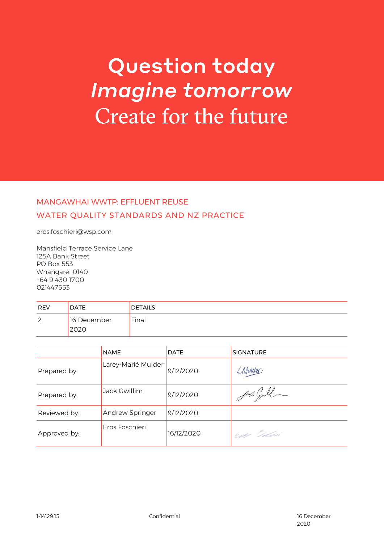### **Question today Imagine tomorrow** Create for the future

#### MANGAWHAI WWTP: EFFLUENT REUSE WATER QUALITY STANDARDS AND NZ PRACTICE

eros.foschieri@wsp.com

Mansfield Terrace Service Lane 125A Bank Street PO Box 553 Whangarei 0140 +64 9 430 1700 021447553

| <b>REV</b> | <b>DATE</b>        | <b>DETAILS</b> |
|------------|--------------------|----------------|
| 2          | 16 December<br>UZL | Final          |

|              | <b>NAME</b>        | <b>DATE</b> | <b>SIGNATURE</b> |
|--------------|--------------------|-------------|------------------|
| Prepared by: | Larey-Marié Mulder | 9/12/2020   | LMulder          |
| Prepared by: | Jack Gwillim       | 9/12/2020   | Auch Gull        |
| Reviewed by: | Andrew Springer    | 9/12/2020   |                  |
| Approved by: | Eros Foschieri     | 16/12/2020  | We Idai          |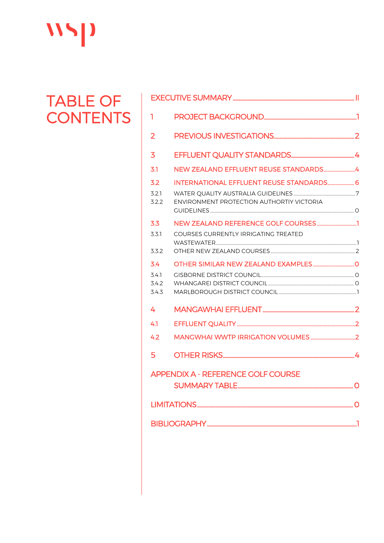## WSP

# TABLE OF<br>CONTENTS

| 1              |                                                 |  |  |  |
|----------------|-------------------------------------------------|--|--|--|
| $\overline{2}$ |                                                 |  |  |  |
| 3              |                                                 |  |  |  |
| 3.1            | NEW ZEALAND EFFLUENT REUSE STANDARDS4           |  |  |  |
| 3.2            | <b>INTERNATIONAL EFFLUENT REUSE STANDARDS 6</b> |  |  |  |
| 3.2.1          |                                                 |  |  |  |
| 3.2.2          | ENVIRONMENT PROTECTION AUTHORTIY VICTORIA       |  |  |  |
| 3.3            |                                                 |  |  |  |
| 331            | COURSES CURRENTLY IRRIGATING TREATED            |  |  |  |
|                |                                                 |  |  |  |
| 3.3.2          |                                                 |  |  |  |
| 3.4            |                                                 |  |  |  |
| 3.4.1          |                                                 |  |  |  |
| 3.4.2<br>3.4.3 |                                                 |  |  |  |
|                |                                                 |  |  |  |
| 4              |                                                 |  |  |  |
| 41             |                                                 |  |  |  |
| 4.2            |                                                 |  |  |  |
| 5              |                                                 |  |  |  |
|                | <b>APPENDIX A - REFERENCE GOLF COURSE</b>       |  |  |  |
|                |                                                 |  |  |  |
|                |                                                 |  |  |  |
|                |                                                 |  |  |  |
|                |                                                 |  |  |  |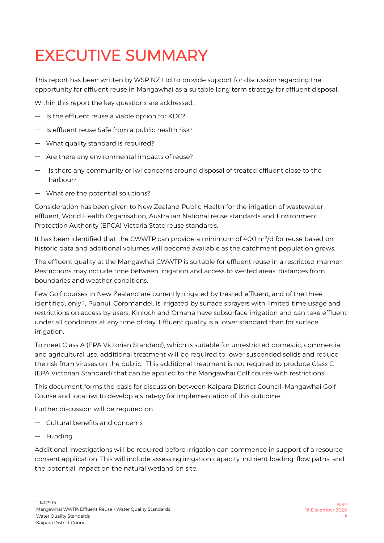### <span id="page-3-0"></span>EXECUTIVE SUMMARY

This report has been written by WSP NZ Ltd to provide support for discussion regarding the opportunity for effluent reuse in Mangawhai as a suitable long term strategy for effluent disposal.

Within this report the key questions are addressed.

- Is the effluent reuse a viable option for KDC?
- Is effluent reuse Safe from a public health risk?
- What quality standard is required?
- Are there any environmental impacts of reuse?
- Is there any community or Iwi concerns around disposal of treated effluent close to the harbour?
- What are the potential solutions?

Consideration has been given to New Zealand Public Health for the irrigation of wastewater effluent, World Health Organisation, Australian National reuse standards and Environment Protection Authority (EPCA) Victoria State reuse standards.

It has been identified that the CWWTP can provide a minimum of 400  $\mathrm{m}^3/\mathrm{d}$  for reuse based on historic data and additional volumes will become available as the catchment population grows.

The effluent quality at the Mangawhai CWWTP is suitable for effluent reuse in a restricted manner. Restrictions may include time between irrigation and access to wetted areas, distances from boundaries and weather conditions.

Few Golf courses in New Zealand are currently irrigated by treated effluent, and of the three identified, only 1, Puanui, Coromandel, is irrigated by surface sprayers with limited time usage and restrictions on access by users. Kinloch and Omaha have subsurface irrigation and can take effluent under all conditions at any time of day. Effluent quality is a lower standard than for surface irrigation.

To meet Class A (EPA Victorian Standard), which is suitable for unrestricted domestic, commercial and agricultural use, additional treatment will be required to lower suspended solids and reduce the risk from viruses on the public. This additional treatment is not required to produce Class C (EPA Victorian Standard) that can be applied to the Mangawhai Golf course with restrictions.

This document forms the basis for discussion between Kaipara District Council, Mangawhai Golf Course and local iwi to develop a strategy for implementation of this outcome.

Further discussion will be required on

- Cultural benefits and concerns
- Funding

Additional investigations will be required before irrigation can commence in support of a resource consent application. This will include assessing irrigation capacity, nutrient loading, flow paths, and the potential impact on the natural wetland on site.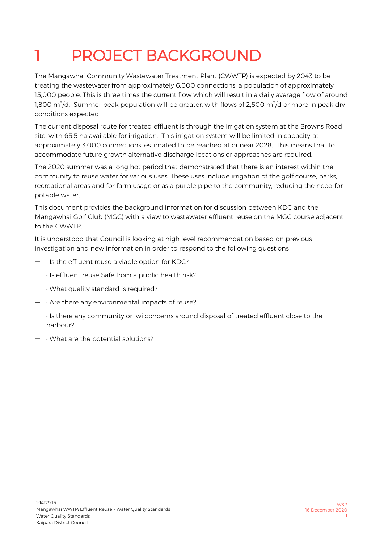### <span id="page-4-0"></span>PROJECT BACKGROUND

The Mangawhai Community Wastewater Treatment Plant (CWWTP) is expected by 2043 to be treating the wastewater from approximately 6,000 connections, a population of approximately 15,000 people. This is three times the current flow which will result in a daily average flow of around 1,800 m $\mathrm{^3/d}$  . Summer peak population will be greater, with flows of 2,500 m $\mathrm{^3/d}$  or more in peak dry conditions expected.

The current disposal route for treated effluent is through the irrigation system at the Browns Road site, with 65.5 ha available for irrigation. This irrigation system will be limited in capacity at approximately 3,000 connections, estimated to be reached at or near 2028. This means that to accommodate future growth alternative discharge locations or approaches are required.

The 2020 summer was a long hot period that demonstrated that there is an interest within the community to reuse water for various uses. These uses include irrigation of the golf course, parks, recreational areas and for farm usage or as a purple pipe to the community, reducing the need for potable water.

This document provides the background information for discussion between KDC and the Mangawhai Golf Club (MGC) with a view to wastewater effluent reuse on the MGC course adjacent to the CWWTP.

It is understood that Council is looking at high level recommendation based on previous investigation and new information in order to respond to the following questions

- $\cdot$  Is the effluent reuse a viable option for KDC?
- $\cdot$  Is effluent reuse Safe from a public health risk?
- $\cdot$   $\cdot$  What quality standard is required?
- $\cdot$  Are there any environmental impacts of reuse?
- • Is there any community or Iwi concerns around disposal of treated effluent close to the harbour?
- $\cdot$  What are the potential solutions?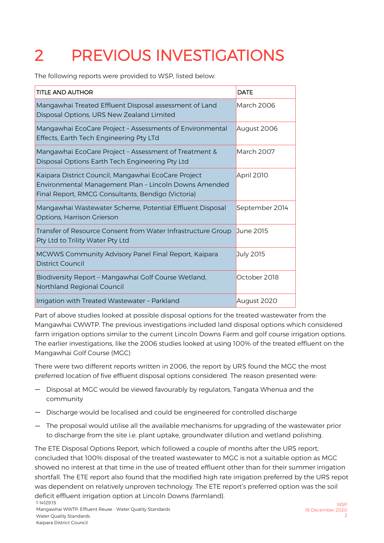### <span id="page-5-0"></span>2 PREVIOUS INVESTIGATIONS

The following reports were provided to WSP, listed below:

| <b>TITLE AND AUTHOR</b>                                                                                                                                            | <b>DATE</b>    |
|--------------------------------------------------------------------------------------------------------------------------------------------------------------------|----------------|
| Mangawhai Treated Effluent Disposal assessment of Land<br>Disposal Options, URS New Zealand Limited                                                                | March 2006     |
| Mangawhai EcoCare Project - Assessments of Environmental<br>Effects, Earth Tech Engineering Pty LTd                                                                | August 2006    |
| Mangawhai EcoCare Project - Assessment of Treatment &<br>Disposal Options Earth Tech Engineering Pty Ltd                                                           | March 2007     |
| Kaipara District Council, Mangawhai EcoCare Project<br>Environmental Management Plan - Lincoln Downs Amended<br>Final Report, RMCG Consultants, Bendigo (Victoria) | April 2010     |
| Mangawhai Wastewater Scheme, Potential Effluent Disposal<br>Options, Harrison Grierson                                                                             | September 2014 |
| Transfer of Resource Consent from Water Infrastructure Group<br>Pty Ltd to Trility Water Pty Ltd                                                                   | June 2015      |
| MCWWS Community Advisory Panel Final Report, Kaipara<br>District Council                                                                                           | July 2015      |
| Biodiversity Report - Mangawhai Golf Course Wetland,<br>Northland Regional Council                                                                                 | October 2018   |
| Irrigation with Treated Wastewater - Parkland                                                                                                                      | August 2020    |

Part of above studies looked at possible disposal options for the treated wastewater from the Mangawhai CWWTP. The previous investigations included land disposal options which considered farm irrigation options similar to the current Lincoln Downs Farm and golf course irrigation options. The earlier investigations, like the 2006 studies looked at using 100% of the treated effluent on the Mangawhai Golf Course (MGC)

There were two different reports written in 2006, the report by URS found the MGC the most preferred location of five effluent disposal options considered. The reason presented were:

- Disposal at MGC would be viewed favourably by regulators, Tangata Whenua and the community
- Discharge would be localised and could be engineered for controlled discharge
- The proposal would utilise all the available mechanisms for upgrading of the wastewater prior to discharge from the site i.e. plant uptake, groundwater dilution and wetland polishing.

1-14129.15 The ETE Disposal Options Report, which followed a couple of months after the URS report, concluded that 100% disposal of the treated wastewater to MGC is not a suitable option as MGC showed no interest at that time in the use of treated effluent other than for their summer irrigation shortfall. The ETE report also found that the modified high rate irrigation preferred by the URS repot was dependent on relatively unproven technology. The ETE report's preferred option was the soil deficit effluent irrigation option at Lincoln Downs (farmland).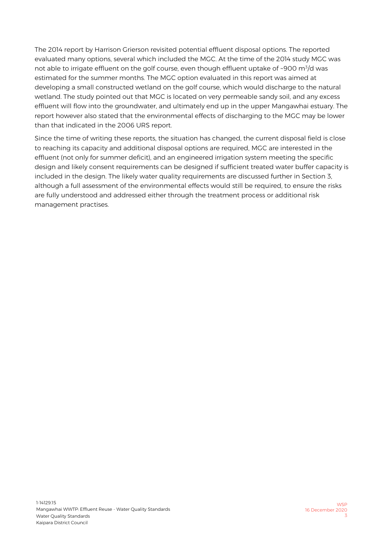The 2014 report by Harrison Grierson revisited potential effluent disposal options. The reported evaluated many options, several which included the MGC. At the time of the 2014 study MGC was not able to irrigate effluent on the golf course, even though effluent uptake of ~900 m<sup>3</sup>/d was estimated for the summer months. The MGC option evaluated in this report was aimed at developing a small constructed wetland on the golf course, which would discharge to the natural wetland. The study pointed out that MGC is located on very permeable sandy soil, and any excess effluent will flow into the groundwater, and ultimately end up in the upper Mangawhai estuary. The report however also stated that the environmental effects of discharging to the MGC may be lower than that indicated in the 2006 URS report.

Since the time of writing these reports, the situation has changed, the current disposal field is close to reaching its capacity and additional disposal options are required, MGC are interested in the effluent (not only for summer deficit), and an engineered irrigation system meeting the specific design and likely consent requirements can be designed if sufficient treated water buffer capacity is included in the design. The likely water quality requirements are discussed further in Section [3,](#page-7-0)  although a full assessment of the environmental effects would still be required, to ensure the risks are fully understood and addressed either through the treatment process or additional risk management practises.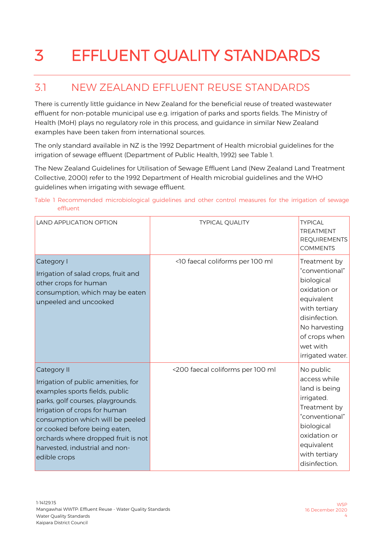### <span id="page-7-0"></span>3 EFFLUENT QUALITY STANDARDS

#### <span id="page-7-1"></span>3.1 NEW ZEALAND EFFLUENT REUSE STANDARDS

There is currently little guidance in New Zealand for the beneficial reuse of treated wastewater effluent for non-potable municipal use e.g. irrigation of parks and sports fields. The Ministry of Health (MoH) plays no regulatory role in this process, and guidance in similar New Zealand examples have been taken from international sources.

The only standard available in NZ is the 1992 Department of Health microbial guidelines for the irrigation of sewage effluent (Department of Public Health, 1992) see [Table 1.](#page-7-2)

The New Zealand Guidelines for Utilisation of Sewage Effluent Land (New Zealand Land Treatment Collective, 2000) refer to the 1992 Department of Health microbial guidelines and the WHO guidelines when irrigating with sewage effluent.

#### <span id="page-7-2"></span>Table 1 Recommended microbiological guidelines and other control measures for the irrigation of sewage effluent

| <b>LAND APPLICATION OPTION</b>                                                                                                                                                                                                                                                                                           | <b>TYPICAL QUALITY</b>           | <b>TYPICAL</b><br><b>TREATMENT</b><br><b>REQUIREMENTS</b><br><b>COMMENTS</b>                                                                                                   |
|--------------------------------------------------------------------------------------------------------------------------------------------------------------------------------------------------------------------------------------------------------------------------------------------------------------------------|----------------------------------|--------------------------------------------------------------------------------------------------------------------------------------------------------------------------------|
| Category I<br>Irrigation of salad crops, fruit and<br>other crops for human<br>consumption, which may be eaten<br>unpeeled and uncooked                                                                                                                                                                                  | <10 faecal coliforms per 100 ml  | Treatment by<br>"conventional"<br>biological<br>oxidation or<br>equivalent<br>with tertiary<br>disinfection.<br>No harvesting<br>of crops when<br>wet with<br>irrigated water. |
| Category II<br>Irrigation of public amenities, for<br>examples sports fields, public<br>parks, golf courses, playgrounds.<br>Irrigation of crops for human<br>consumption which will be peeled<br>or cooked before being eaten,<br>orchards where dropped fruit is not<br>harvested, industrial and non-<br>edible crops | <200 faecal coliforms per 100 ml | No public<br>access while<br>land is being<br>irrigated.<br>Treatment by<br>"conventional"<br>biological<br>oxidation or<br>equivalent<br>with tertiary<br>disinfection.       |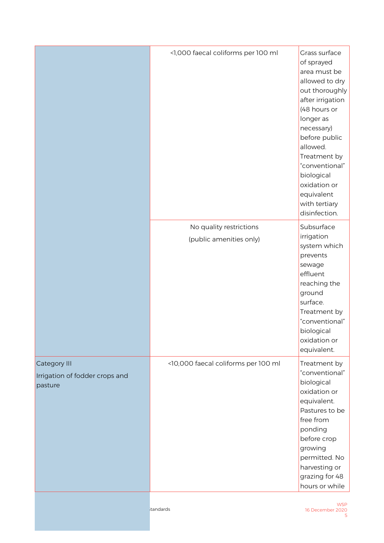|                                                           | <1,000 faecal coliforms per 100 ml                 | Grass surface<br>of sprayed<br>area must be<br>allowed to dry<br>out thoroughly<br>after irrigation<br>(48 hours or<br>longer as<br>necessary)<br>before public<br>allowed.<br>Treatment by<br>"conventional"<br>biological<br>oxidation or<br>equivalent<br>with tertiary<br>disinfection. |
|-----------------------------------------------------------|----------------------------------------------------|---------------------------------------------------------------------------------------------------------------------------------------------------------------------------------------------------------------------------------------------------------------------------------------------|
|                                                           | No quality restrictions<br>(public amenities only) | Subsurface<br>irrigation<br>system which<br>prevents<br>sewage<br>effluent<br>reaching the<br>ground<br>surface.<br>Treatment by<br>"conventional"<br>biological<br>oxidation or<br>equivalent.                                                                                             |
| Category III<br>Irrigation of fodder crops and<br>pasture | <10,000 faecal coliforms per 100 ml                | Treatment by<br>"conventional"<br>biological<br>oxidation or<br>equivalent.<br>Pastures to be<br>free from<br>ponding<br>before crop<br>growing<br>permitted. No<br>harvesting or<br>grazing for 48<br>hours or while                                                                       |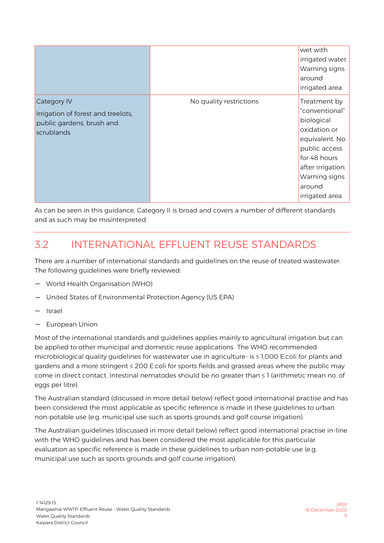|                                                                                              |                         | wet with<br>irrigated water.<br>Warning signs<br>around<br>irrigated area                                                                                                          |
|----------------------------------------------------------------------------------------------|-------------------------|------------------------------------------------------------------------------------------------------------------------------------------------------------------------------------|
| Category IV<br>Irrigation of forest and treelots,<br>public gardens, brush and<br>scrublands | No quality restrictions | Treatment by<br>"conventional"<br>biological<br>oxidation or<br>equivalent. No<br>public access<br>for 48 hours<br>after irrigation.<br>Warning signs<br>around<br>irrigated area. |

As can be seen in this guidance, Category II is broad and covers a number of different standards and as such may be misinterpreted.

#### <span id="page-9-0"></span>3.2 INTERNATIONAL EFFLUENT REUSE STANDARDS

There are a number of international standards and guidelines on the reuse of treated wastewater. The following guidelines were briefly reviewed:

- World Health Organisation (WHO)
- United States of Environmental Protection Agency (US EPA)
- Israel
- European Union

Most of the international standards and guidelines applies mainly to agricultural irrigation but can be applied to other municipal and domestic reuse applications The WHO recommended microbiological quality guidelines for wastewater use in agriculture- is ≤ 1,000 E.coli for plants and gardens and a more stringent ≤ 200 E.coli for sports fields and grassed areas where the public may come in direct contact. Intestinal nematodes should be no greater than ≤ 1 (arithmetic mean no. of eggs per litre).

The Australian standard (discussed in more detail below) reflect good international practise and has been considered the most applicable as specific reference is made in these guidelines to urban non-potable use (e.g. municipal use such as sports grounds and golf course irrigation).

The Australian guidelines (discussed in more detail below) reflect good international practise in-line with the WHO guidelines and has been considered the most applicable for this particular evaluation as specific reference is made in these guidelines to urban non-potable use (e.g. municipal use such as sports grounds and golf course irrigation).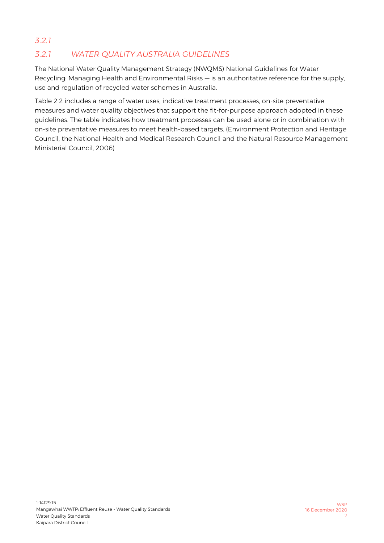#### <span id="page-10-0"></span>*3.2.1 WATER QUALITY AUSTRALIA GUIDELINES 3.2.1*

The National Water Quality Management Strategy (NWQMS) National Guidelines for Water Recycling: Managing Health and Environmental Risks — is an authoritative reference for the supply, use and regulation of recycled water schemes in Australia.

[Table 2](#page-11-0) 2 includes a range of water uses, indicative treatment processes, on-site preventative measures and water quality objectives that support the fit-for-purpose approach adopted in these guidelines. The table indicates how treatment processes can be used alone or in combination with on-site preventative measures to meet health-based targets. (Environment Protection and Heritage Council, the National Health and Medical Research Council and the Natural Resource Management Ministerial Council, 2006)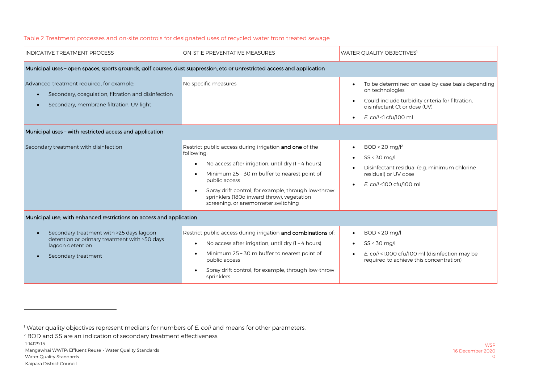| INDICATIVE TREATMENT PROCESS                                                                                                                                                                            | ON-STIE PREVENTATIVE MEASURES                                                                                                                                                                                                                                                                                                                                                   | WATER QUALITY OBJECTIVES <sup>1</sup>                                                                                                                                                                        |
|---------------------------------------------------------------------------------------------------------------------------------------------------------------------------------------------------------|---------------------------------------------------------------------------------------------------------------------------------------------------------------------------------------------------------------------------------------------------------------------------------------------------------------------------------------------------------------------------------|--------------------------------------------------------------------------------------------------------------------------------------------------------------------------------------------------------------|
| Municipal uses - open spaces, sports grounds, golf courses, dust suppression, etc or unrestricted access and application                                                                                |                                                                                                                                                                                                                                                                                                                                                                                 |                                                                                                                                                                                                              |
| Advanced treatment required, for example:<br>Secondary, coagulation, filtration and disinfection<br>Secondary, membrane filtration, UV light<br>Municipal uses - with restricted access and application | No specific measures                                                                                                                                                                                                                                                                                                                                                            | To be determined on case-by-case basis depending<br>$\bullet$<br>on technologies<br>Could include turbidity criteria for filtration,<br>disinfectant Ct or dose (UV)<br>$E.$ coli <1 cfu/100 ml<br>$\bullet$ |
| Secondary treatment with disinfection                                                                                                                                                                   | Restrict public access during irrigation and one of the<br>following:<br>No access after irrigation, until dry (1 - 4 hours)<br>$\bullet$<br>Minimum 25 - 30 m buffer to nearest point of<br>$\bullet$<br>public access<br>Spray drift control, for example, through low-throw<br>$\bullet$<br>sprinklers (180o inward throw), vegetation<br>screening, or anemometer switching | $BOD < 20$ mg/ $l^2$<br>$\bullet$<br>$SS < 30$ mg/<br>Disinfectant residual (e.g. minimum chlorine<br>residual) or UV dose<br>E. coli <100 cfu/100 ml<br>$\bullet$                                           |
| Municipal use, with enhanced restrictions on access and application                                                                                                                                     |                                                                                                                                                                                                                                                                                                                                                                                 |                                                                                                                                                                                                              |
| Secondary treatment with >25 days lagoon<br>detention or primary treatment with >50 days<br>lagoon detention<br>Secondary treatment                                                                     | Restrict public access during irrigation and combinations of:<br>No access after irrigation, until dry (1 - 4 hours)<br>$\bullet$<br>Minimum 25 - 30 m buffer to nearest point of<br>$\bullet$<br>public access<br>Spray drift control, for example, through low-throw<br>sprinklers                                                                                            | $BOD < 20$ mg/l<br>$SS < 30$ mg/<br>E. coli <1,000 cfu/100 ml (disinfection may be<br>$\bullet$<br>required to achieve this concentration)                                                                   |

#### Table 2 Treatment processes and on-site controls for designated uses of recycled water from treated sewage

<span id="page-11-0"></span>-

<sup>1</sup> Water quality objectives represent medians for numbers of *E. coli* and means for other parameters.

<sup>&</sup>lt;sup>2</sup> BOD and SS are an indication of secondary treatment effectiveness.

<sup>1-14129.15</sup>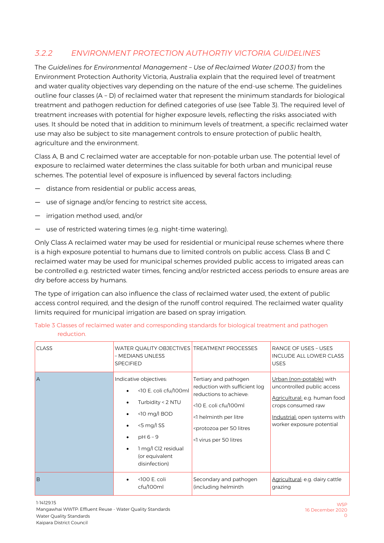#### <span id="page-12-0"></span>*3.2.2 ENVIRONMENT PROTECTION AUTHORTIY VICTORIA GUIDELINES*

The *Guidelines for Environmental Management – Use of Reclaimed Water (2003)* from the Environment Protection Authority Victoria, Australia explain that the required level of treatment and water quality objectives vary depending on the nature of the end-use scheme. The guidelines outline four classes (A – D) of reclaimed water that represent the minimum standards for biological treatment and pathogen reduction for defined categories of use (see [Table 3\)](#page-12-1). The required level of treatment increases with potential for higher exposure levels, reflecting the risks associated with uses. It should be noted that in addition to minimum levels of treatment, a specific reclaimed water use may also be subject to site management controls to ensure protection of public health, agriculture and the environment.

Class A, B and C reclaimed water are acceptable for non-potable urban use. The potential level of exposure to reclaimed water determines the class suitable for both urban and municipal reuse schemes. The potential level of exposure is influenced by several factors including:

- distance from residential or public access areas,
- use of signage and/or fencing to restrict site access,
- irrigation method used, and/or
- use of restricted watering times (e.g. night-time watering).

Only Class A reclaimed water may be used for residential or municipal reuse schemes where there is a high exposure potential to humans due to limited controls on public access. Class B and C reclaimed water may be used for municipal schemes provided public access to irrigated areas can be controlled e.g. restricted water times, fencing and/or restricted access periods to ensure areas are dry before access by humans.

The type of irrigation can also influence the class of reclaimed water used, the extent of public access control required, and the design of the runoff control required. The reclaimed water quality limits required for municipal irrigation are based on spray irrigation.

| <b>CLASS</b> | WATER QUALITY OBJECTIVES TREATMENT PROCESSES<br>- MEDIANS UNLESS<br><b>SPECIFIED</b>                                                                                          |                                                                                                                                                                                                                | <b>RANGE OF USES - USES</b><br>INCLUDE ALL LOWER CLASS<br><b>USES</b>                                                                                                       |
|--------------|-------------------------------------------------------------------------------------------------------------------------------------------------------------------------------|----------------------------------------------------------------------------------------------------------------------------------------------------------------------------------------------------------------|-----------------------------------------------------------------------------------------------------------------------------------------------------------------------------|
| A            | Indicative objectives:<br><10 E. coli cfu/100ml<br>Turbidity < 2 NTU<br>$<$ 10 mg/l BOD<br>$<$ 5 mg/l SS<br>$pH6-9$<br>1 mg/l Cl2 residual<br>(or equivalent<br>disinfection) | Tertiary and pathogen<br>reduction with sufficient log<br>reductions to achieve:<br><10 E. coli cfu/100ml<br><1 helminth per litre<br><protozoa 50="" litres<br="" per="">&lt;1 virus per 50 litres</protozoa> | Urban (non-potable) with<br>uncontrolled public access<br>Agricultural: e.g. human food<br>crops consumed raw<br>Industrial: open systems with<br>worker exposure potential |
| B            | <100 E. coli<br>cfu/100ml                                                                                                                                                     | Secondary and pathogen<br>(including helminth                                                                                                                                                                  | Agricultural: e.g. dairy cattle<br>grazing                                                                                                                                  |

<span id="page-12-1"></span>

| Table 3 Classes of reclaimed water and corresponding standards for biological treatment and pathogen |  |  |
|------------------------------------------------------------------------------------------------------|--|--|
| reduction.                                                                                           |  |  |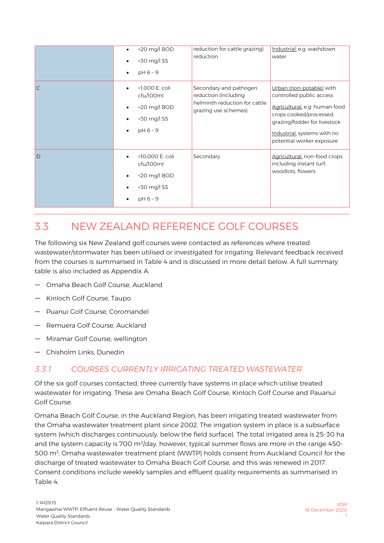|              | <20 mg/l BOD<br><30 mg/l SS<br>$pH 6 - 9$                                 | reduction for cattle grazing)<br>reduction                                                              | Industrial: e.g. washdown<br>water                                                                                                                                                                           |
|--------------|---------------------------------------------------------------------------|---------------------------------------------------------------------------------------------------------|--------------------------------------------------------------------------------------------------------------------------------------------------------------------------------------------------------------|
| $\mathsf{C}$ | <1,000 E. coli<br>cfu/100ml<br><20 mg/l BOD<br><30 mg/l SS<br>$pH 6 - 9$  | Secondary and pathogen<br>reduction (including<br>helminth reduction for cattle<br>grazing use schemes) | Urban (non-potable) with<br>controlled public access<br>Agricultural: e.g. human food<br>crops cooked/processed,<br>grazing/fodder for livestock<br>Industrial: systems with no<br>potential worker exposure |
| D            | <10,000 E. coli<br>cfu/100ml<br><20 mg/l BOD<br><30 mg/l SS<br>$pH 6 - 9$ | Secondary                                                                                               | Agricultural: non-food crops<br>including instant turf,<br>woodlots, flowers                                                                                                                                 |

#### <span id="page-13-0"></span>3.3 NEW ZEALAND REFERENCE GOLF COURSES

The following six New Zealand golf courses were contacted as references where treated wastewater/stormwater has been utilised or investigated for irrigating. Relevant feedback received from the courses is summarised in [Table 4](#page-16-0) and is discussed in more detail below. A full summary table is also included as Appendix A.

- Omaha Beach Golf Course, Auckland
- Kinloch Golf Course, Taupo
- Puanui Golf Course, Coromandel
- Remuera Golf Course, Auckland
- Miramar Golf Course, wellington
- Chisholm Links, Dunedin

#### <span id="page-13-1"></span>*3.3.1 COURSES CURRENTLY IRRIGATING TREATED WASTEWATER*

Of the six golf courses contacted, three currently have systems in place which utilise treated wastewater for irrigating. These are Omaha Beach Golf Course, Kinloch Golf Course and Pauanui Golf Course.

Omaha Beach Golf Course, in the Auckland Region, has been irrigating treated wastewater from the Omaha wastewater treatment plant since 2002. The irrigation system in place is a subsurface system (which discharges continuously, below the field surface). The total irrigated area is 25-30 ha and the system capacity is 700 m $\frac{3}{4}$ day, however, typical summer flows are more in the range 450-500 m<sup>3</sup>. Omaha wastewater treatment plant (WWTP) holds consent from Auckland Council for the discharge of treated wastewater to Omaha Beach Golf Course, and this was renewed in 2017. Consent conditions include weekly samples and effluent quality requirements as summarised in [Table 4.](#page-16-0)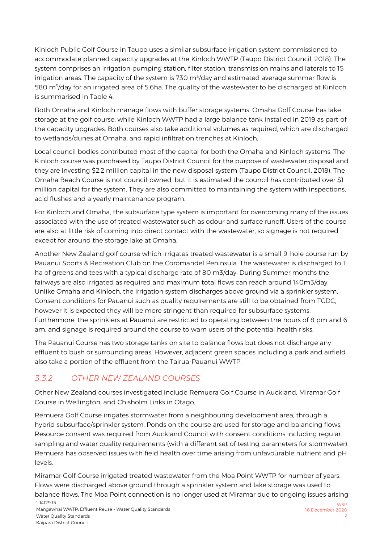Kinloch Public Golf Course in Taupo uses a similar subsurface irrigation system commissioned to accommodate planned capacity upgrades at the Kinloch WWTP (Taupo District Council, 2018). The system comprises an irrigation pumping station, filter station, transmission mains and laterals to 15 irrigation areas. The capacity of the system is 730 m $^3$ /day and estimated average summer flow is 580 m<sup>3</sup>/day for an irrigated area of 5.6ha. The quality of the wastewater to be discharged at Kinloch is summarised in [Table 4.](#page-16-0) 

Both Omaha and Kinloch manage flows with buffer storage systems. Omaha Golf Course has lake storage at the golf course, while Kinloch WWTP had a large balance tank installed in 2019 as part of the capacity upgrades. Both courses also take additional volumes as required, which are discharged to wetlands/dunes at Omaha, and rapid infiltration trenches at Kinloch.

Local council bodies contributed most of the capital for both the Omaha and Kinloch systems. The Kinloch course was purchased by Taupo District Council for the purpose of wastewater disposal and they are investing \$2.2 million capital in the new disposal system (Taupo District Council, 2018). The Omaha Beach Course is not council-owned, but it is estimated the council has contributed over \$1 million capital for the system. They are also committed to maintaining the system with inspections, acid flushes and a yearly maintenance program.

For Kinloch and Omaha, the subsurface type system is important for overcoming many of the issues associated with the use of treated wastewater such as odour and surface runoff. Users of the course are also at little risk of coming into direct contact with the wastewater, so signage is not required except for around the storage lake at Omaha.

Another New Zealand golf course which irrigates treated wastewater is a small 9-hole course run by Pauanui Sports & Recreation Club on the Coromandel Peninsula. The wastewater is discharged to 1 ha of greens and tees with a typical discharge rate of 80 m3/day. During Summer months the fairways are also irrigated as required and maximum total flows can reach around 140m3/day. Unlike Omaha and Kinloch, the irrigation system discharges above ground via a sprinkler system. Consent conditions for Pauanui such as quality requirements are still to be obtained from TCDC, however it is expected they will be more stringent than required for subsurface systems. Furthermore, the sprinklers at Pauanui are restricted to operating between the hours of 8 pm and 6 am, and signage is required around the course to warn users of the potential health risks.

The Pauanui Course has two storage tanks on site to balance flows but does not discharge any effluent to bush or surrounding areas. However, adjacent green spaces including a park and airfield also take a portion of the effluent from the Tairua-Pauanui WWTP.

#### <span id="page-14-0"></span>*3.3.2 OTHER NEW ZEALAND COURSES*

Other New Zealand courses investigated include Remuera Golf Course in Auckland, Miramar Golf Course in Wellington, and Chisholm Links in Otago.

Remuera Golf Course irrigates stormwater from a neighbouring development area, through a hybrid subsurface/sprinkler system. Ponds on the course are used for storage and balancing flows. Resource consent was required from Auckland Council with consent conditions including regular sampling and water quality requirements (with a different set of testing parameters for stormwater). Remuera has observed issues with field health over time arising from unfavourable nutrient and pH levels.

1-14129.15 Mangawhai WWTP: Effluent Reuse - Water Quality Standards **M/SD** 16 December 2020 Miramar Golf Course irrigated treated wastewater from the Moa Point WWTP for number of years. Flows were discharged above ground through a sprinkler system and lake storage was used to balance flows. The Moa Point connection is no longer used at Miramar due to ongoing issues arising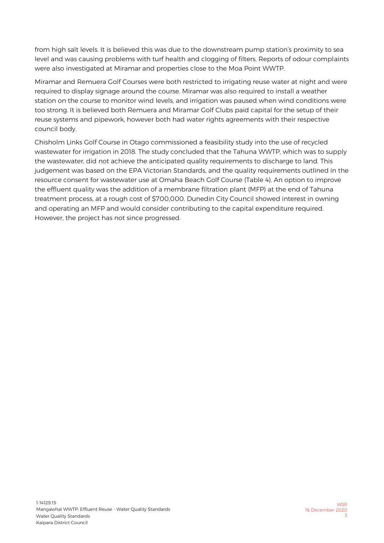from high salt levels. It is believed this was due to the downstream pump station's proximity to sea level and was causing problems with turf health and clogging of filters. Reports of odour complaints were also investigated at Miramar and properties close to the Moa Point WWTP.

Miramar and Remuera Golf Courses were both restricted to irrigating reuse water at night and were required to display signage around the course. Miramar was also required to install a weather station on the course to monitor wind levels, and irrigation was paused when wind conditions were too strong. It is believed both Remuera and Miramar Golf Clubs paid capital for the setup of their reuse systems and pipework, however both had water rights agreements with their respective council body.

Chisholm Links Golf Course in Otago commissioned a feasibility study into the use of recycled wastewater for irrigation in 2018. The study concluded that the Tahuna WWTP, which was to supply the wastewater, did not achieve the anticipated quality requirements to discharge to land. This judgement was based on the EPA Victorian Standards, and the quality requirements outlined in the resource consent for wastewater use at Omaha Beach Golf Course [\(Table 4\)](#page-16-0). An option to improve the effluent quality was the addition of a membrane filtration plant (MFP) at the end of Tahuna treatment process, at a rough cost of \$700,000. Dunedin City Council showed interest in owning and operating an MFP and would consider contributing to the capital expenditure required. However, the project has not since progressed.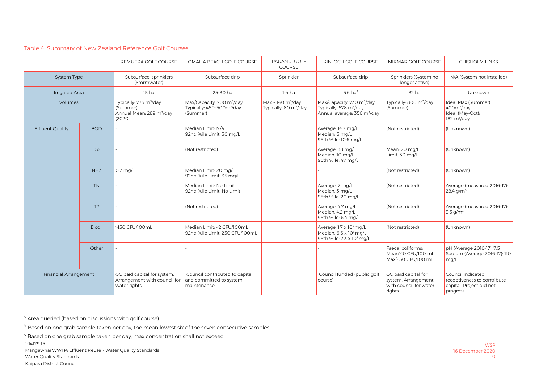#### Table 4. Summary of New Zealand Reference Golf Courses

|                              |                 | REMUERA GOLF COURSE                                                                              | OMAHA BEACH GOLF COURSE                                                                    | PAUANUI GOLF<br><b>COURSE</b>                                          | KINLOCH GOLF COURSE                                                                                                    | MIRMAR GOLF COURSE                                                                        | <b>CHISHOLM LINKS</b>                                                                        |
|------------------------------|-----------------|--------------------------------------------------------------------------------------------------|--------------------------------------------------------------------------------------------|------------------------------------------------------------------------|------------------------------------------------------------------------------------------------------------------------|-------------------------------------------------------------------------------------------|----------------------------------------------------------------------------------------------|
| <b>System Type</b>           |                 | Subsurface, sprinklers<br>(Stormwater)                                                           | Subsurface drip                                                                            | Sprinkler                                                              | Subsurface drip                                                                                                        | Sprinklers (System no<br>longer active)                                                   | N/A (System not installed)                                                                   |
| <b>Irrigated Area</b>        |                 | 15 <sub>ha</sub>                                                                                 | 25-30 ha                                                                                   | $1-4$ ha                                                               | $5.6$ ha <sup>3</sup>                                                                                                  | 32 ha                                                                                     | Unknown                                                                                      |
| Volumes                      |                 | Typically: 775 m <sup>3</sup> /day<br>(Summer)<br>Annual Mean: 289 m <sup>3</sup> /day<br>(2020) | Max/Capacity: 700 m <sup>3</sup> /day<br>Typically: 450-500m <sup>3</sup> /day<br>(Summer) | Max ~ 140 $\text{m}^3/\text{day}$<br>Typically: 80 m <sup>3</sup> /day | Max/Capacity: 730 m <sup>3</sup> /day<br>Typically: 578 m <sup>3</sup> /day<br>Annual average: 356 m <sup>3</sup> /day | Typically: 800 m <sup>3</sup> /day<br>(Summer)                                            | Ideal Max (Summer):<br>400m <sup>3</sup> /day<br>Ideal (May-Oct):<br>182 m <sup>3</sup> /day |
| <b>Effluent Quality</b>      | <b>BOD</b>      |                                                                                                  | Median Limit: N/a<br>92nd %ile Limit: 30 mg/L                                              |                                                                        | Average: 14.7 mg/L<br>Median: 5 mg/L<br>95th %ile: 10.6 mg/L                                                           | (Not restricted)                                                                          | (Unknown)                                                                                    |
|                              | <b>TSS</b>      |                                                                                                  | (Not restricted)                                                                           |                                                                        | Average: 38 mg/L<br>Median: 10 mg/L<br>95th %ile: 47 mg/L                                                              | Mean: 20 mg/L<br>Limit: 30 mg/L                                                           | (Unknown)                                                                                    |
|                              | NH <sub>3</sub> | $0.2 \text{ mg/L}$                                                                               | Median Limit: 20 mg/L<br>92nd %ile Limit: 35 mg/L                                          |                                                                        |                                                                                                                        | (Not restricted)                                                                          | (Unknown)                                                                                    |
|                              | <b>TN</b>       |                                                                                                  | Median Limit: No Limit<br>92nd %ile Limit: No Limit                                        |                                                                        | Average: 7 mg/L<br>Median: 3 mg/L<br>95th %ile: 20 mg/L                                                                | (Not restricted)                                                                          | Average (measured 2016-17):<br>28.4 g/m <sup>3</sup>                                         |
|                              | TP              |                                                                                                  | (Not restricted)                                                                           |                                                                        | Average: 4.7 mg/L<br>Median: 4.2 mg/L<br>95th %ile: 6.4 mg/L                                                           | (Not restricted)                                                                          | Average (measured 2016-17):<br>$3.5$ g/m <sup>3</sup>                                        |
|                              | E coli          | >150 CFU/100mL                                                                                   | Median Limit: < 2 CFU/100mL<br>92nd %ile Limit: 250 CFU/100mL                              |                                                                        | Average: 1.7 x 10 <sup>4</sup> mg/L<br>Median: 6.6 x 10 <sup>3</sup> mg/L<br>95th %ile: 7.3 x 104 mg/L                 | (Not restricted)                                                                          | (Unknown)                                                                                    |
|                              | Other           |                                                                                                  |                                                                                            |                                                                        |                                                                                                                        | Faecal coliforms:<br>Mean <sup>4</sup> :10 CFU/100 mL<br>Max <sup>5</sup> : 50 CFU/100 mL | pH (Average 2016-17): 7.5<br>Sodium (Average 2016-17): 110<br>mq/L                           |
| <b>Financial Arrangement</b> |                 | GC paid capital for system.<br>Arrangement with council for<br>water rights.                     | Council contributed to capital<br>and committed to system<br>maintenance.                  |                                                                        | Council funded (public golf<br>course)                                                                                 | GC paid capital for<br>system. Arrangement<br>with council for water<br>rights.           | Council indicated<br>receptiveness to contribute<br>capital. Project did not<br>progress     |

<sup>3</sup> Area queried (based on discussions with golf course)

<span id="page-16-0"></span>-

 $4$  Based on one grab sample taken per day, the mean lowest six of the seven consecutive samples

1-14129.15  $5$  Based on one grab sample taken per day, max concentration shall not exceed

Mangawhai WWTP: Effluent Reuse - Water Quality Standards Water Quality Standards Kaipara District Council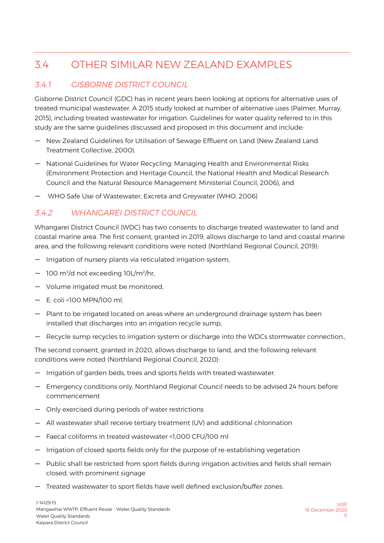#### <span id="page-17-0"></span>3.4 OTHER SIMILAR NEW ZEALAND EXAMPLES

#### <span id="page-17-1"></span>*3.4.1 GISBORNE DISTRICT COUNCIL*

Gisborne District Council (GDC) has in recent years been looking at options for alternative uses of treated municipal wastewater. A 2015 study looked at number of alternative uses (Palmer, Murray, 2015), including treated wastewater for irrigation. Guidelines for water quality referred to in this study are the same guidelines discussed and proposed in this document and include:

- New Zealand Guidelines for Utilisation of Sewage Effluent on Land (New Zealand Land Treatment Collective, 2000).
- National Guidelines for Water Recycling: Managing Health and Environmental Risks (Environment Protection and Heritage Council, the National Health and Medical Research Council and the Natural Resource Management Ministerial Council, 2006), and
- WHO Safe Use of Wastewater, Excreta and Greywater (WHO, 2006)

#### <span id="page-17-2"></span>*3.4.2 WHANGAREI DISTRICT COUNCIL*

Whangarei District Council (WDC) has two consents to discharge treated wastewater to land and coastal marine area. The first consent, granted in 2019, allows discharge to land and coastal marine area, and the following relevant conditions were noted (Northland Regional Council, 2019):

- Irrigation of nursery plants via reticulated irrigation system,
- 100 m<sup>3</sup>/d not exceeding 10L/m<sup>2</sup>/hr,
- Volume irrigated must be monitored,
- E. coli <100 MPN/100 ml,
- Plant to be irrigated located on areas where an underground drainage system has been installed that discharges into an irrigation recycle sump,
- Recycle sump recycles to irrigation system or discharge into the WDCs stormwater connection.,

The second consent, granted in 2020, allows discharge to land, and the following relevant conditions were noted (Northland Regional Council, 2020):

- Irrigation of garden beds, trees and sports fields with treated wastewater.
- Emergency conditions only, Northland Regional Council needs to be advised 24 hours before commencement
- Only exercised during periods of water restrictions
- All wastewater shall receive tertiary treatment (UV) and additional chlorination
- Faecal coliforms in treated wastewater <1,000 CFU/100 ml
- Irrigation of closed sports fields only for the purpose of re-establishing vegetation
- Public shall be restricted from sport fields during irrigation activities and fields shall remain closed, with prominent signage
- Treated wastewater to sport fields have well defined exclusion/buffer zones.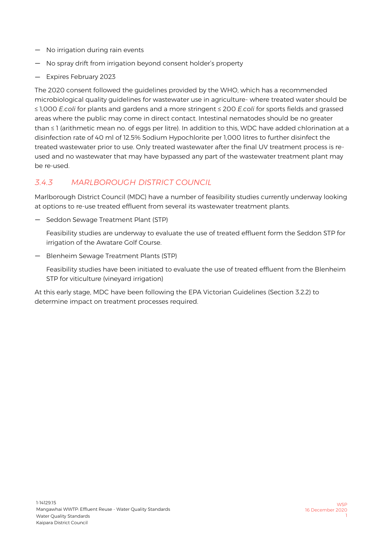- No irrigation during rain events
- No spray drift from irrigation beyond consent holder's property
- Expires February 2023

The 2020 consent followed the guidelines provided by the WHO, which has a recommended microbiological quality guidelines for wastewater use in agriculture- where treated water should be ≤ 1,000 *E.coli* for plants and gardens and a more stringent ≤ 200 *E.coli* for sports fields and grassed areas where the public may come in direct contact. Intestinal nematodes should be no greater than ≤ 1 (arithmetic mean no. of eggs per litre). In addition to this, WDC have added chlorination at a disinfection rate of 40 ml of 12.5% Sodium Hypochlorite per 1,000 litres to further disinfect the treated wastewater prior to use. Only treated wastewater after the final UV treatment process is reused and no wastewater that may have bypassed any part of the wastewater treatment plant may be re-used.

#### <span id="page-18-0"></span>*3.4.3 MARLBOROUGH DISTRICT COUNCIL*

Marlborough District Council (MDC) have a number of feasibility studies currently underway looking at options to re-use treated effluent from several its wastewater treatment plants.

— Seddon Sewage Treatment Plant (STP)

Feasibility studies are underway to evaluate the use of treated effluent form the Seddon STP for irrigation of the Awatare Golf Course.

— Blenheim Sewage Treatment Plants (STP)

Feasibility studies have been initiated to evaluate the use of treated effluent from the Blenheim STP for viticulture (vineyard irrigation)

At this early stage, MDC have been following the EPA Victorian Guidelines (Section [3.2.2\)](#page-12-0) to determine impact on treatment processes required.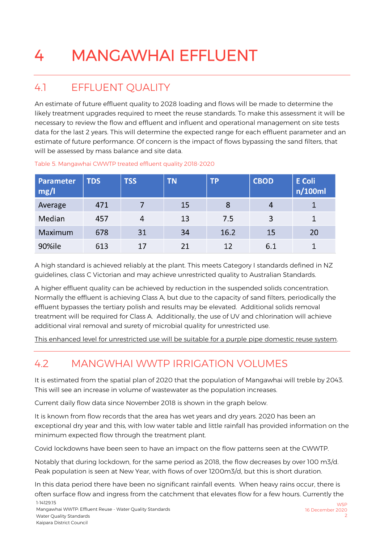### <span id="page-19-0"></span>4 MANGAWHAI EFFLUENT

#### <span id="page-19-1"></span>4.1 EFFLUENT QUALITY

An estimate of future effluent quality to 2028 loading and flows will be made to determine the likely treatment upgrades required to meet the reuse standards. To make this assessment it will be necessary to review the flow and effluent and influent and operational management on site tests data for the last 2 years. This will determine the expected range for each effluent parameter and an estimate of future performance. Of concern is the impact of flows bypassing the sand filters, that will be assessed by mass balance and site data.

| Parameter<br>mg/l | <b>TDS</b> | <b>TSS</b> | <b>TN</b> | <b>TP</b> | <b>CBOD</b> | <b>E</b> Coli<br>n/100ml |
|-------------------|------------|------------|-----------|-----------|-------------|--------------------------|
| Average           | 471        |            | 15        | 8         | 4           |                          |
| Median            | 457        | 4          | 13        | 7.5       | 3           |                          |
| Maximum           | 678        | 31         | 34        | 16.2      | 15          | 20                       |
| 90%ile            | 613        | 17         | 21        | 12        | 6.1         |                          |

#### Table 5. Mangawhai CWWTP treated effluent quality 2018-2020

A high standard is achieved reliably at the plant. This meets Category I standards defined in NZ guidelines, class C Victorian and may achieve unrestricted quality to Australian Standards.

A higher effluent quality can be achieved by reduction in the suspended solids concentration. Normally the effluent is achieving Class A, but due to the capacity of sand filters, periodically the effluent bypasses the tertiary polish and results may be elevated. Additional solids removal treatment will be required for Class A. Additionally, the use of UV and chlorination will achieve additional viral removal and surety of microbial quality for unrestricted use.

This enhanced level for unrestricted use will be suitable for a purple pipe domestic reuse system.

#### <span id="page-19-2"></span>4.2 MANGWHAI WWTP IRRIGATION VOLUMES

It is estimated from the spatial plan of 2020 that the population of Mangawhai will treble by 2043. This will see an increase in volume of wastewater as the population increases.

Current daily flow data since November 2018 is shown in the graph below.

It is known from flow records that the area has wet years and dry years. 2020 has been an exceptional dry year and this, with low water table and little rainfall has provided information on the minimum expected flow through the treatment plant.

Covid lockdowns have been seen to have an impact on the flow patterns seen at the CWWTP.

Notably that during lockdown, for the same period as 2018, the flow decreases by over 100 m3/d. Peak population is seen at New Year, with flows of over 1200m3/d, but this is short duration.

1-14129.15 In this data period there have been no significant rainfall events. When heavy rains occur, there is often surface flow and ingress from the catchment that elevates flow for a few hours. Currently the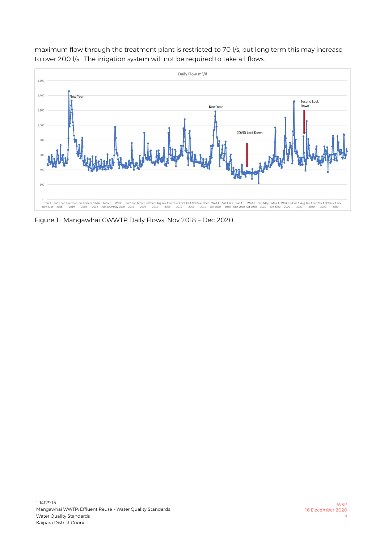

maximum flow through the treatment plant is restricted to 70 l/s, but long term this may increase to over 200 l/s. The irrigation system will not be required to take all flows.

Figure 1 : Mangawhai CWWTP Daily Flows, Nov 2018 – Dec 2020.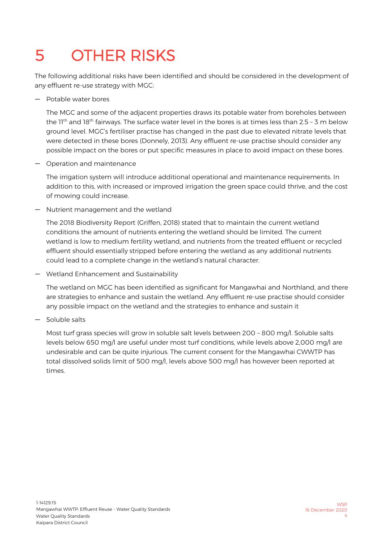### <span id="page-21-0"></span>5 OTHER RISKS

The following additional risks have been identified and should be considered in the development of any effluent re-use strategy with MGC:

— Potable water bores

The MGC and some of the adjacent properties draws its potable water from boreholes between the  $11<sup>th</sup>$  and  $18<sup>th</sup>$  fairways. The surface water level in the bores is at times less than 2.5 - 3 m below ground level. MGC's fertiliser practise has changed in the past due to elevated nitrate levels that were detected in these bores (Donnely, 2013). Any effluent re-use practise should consider any possible impact on the bores or put specific measures in place to avoid impact on these bores.

— Operation and maintenance

The irrigation system will introduce additional operational and maintenance requirements. In addition to this, with increased or improved irrigation the green space could thrive, and the cost of mowing could increase.

— Nutrient management and the wetland

The 2018 Biodiversity Report (Griffen, 2018) stated that to maintain the current wetland conditions the amount of nutrients entering the wetland should be limited. The current wetland is low to medium fertility wetland, and nutrients from the treated effluent or recycled effluent should essentially stripped before entering the wetland as any additional nutrients could lead to a complete change in the wetland's natural character.

— Wetland Enhancement and Sustainability

The wetland on MGC has been identified as significant for Mangawhai and Northland, and there are strategies to enhance and sustain the wetland. Any effluent re-use practise should consider any possible impact on the wetland and the strategies to enhance and sustain it

— Soluble salts

Most turf grass species will grow in soluble salt levels between 200 – 800 mg/l. Soluble salts levels below 650 mg/l are useful under most turf conditions, while levels above 2,000 mg/l are undesirable and can be quite injurious. The current consent for the Mangawhai CWWTP has total dissolved solids limit of 500 mg/l, levels above 500 mg/l has however been reported at times.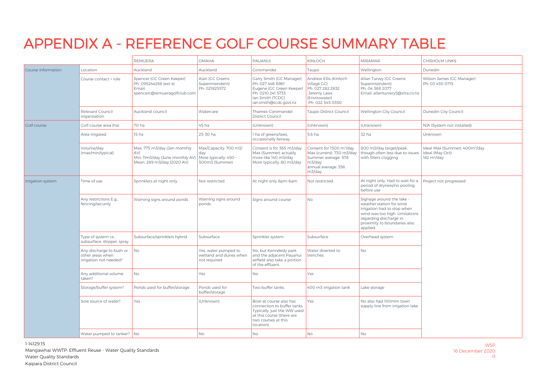### APPENDIX A - REFERENCE GOLF COURSE SUMMARY TABLE

<span id="page-22-0"></span>

|                    |                                                                        | REMUERA                                                                                              | <b>OMAHA</b>                                                           | <b>PAUANUI</b>                                                                                                                                          | KINLOCH                                                                                                                             | <b>MIRAMAR</b>                                                                                                                                                                                | CHISHOLM LINKS                                                                            |  |
|--------------------|------------------------------------------------------------------------|------------------------------------------------------------------------------------------------------|------------------------------------------------------------------------|---------------------------------------------------------------------------------------------------------------------------------------------------------|-------------------------------------------------------------------------------------------------------------------------------------|-----------------------------------------------------------------------------------------------------------------------------------------------------------------------------------------------|-------------------------------------------------------------------------------------------|--|
| Course information | Location                                                               | Auckland                                                                                             | Auckland                                                               | Coromandel                                                                                                                                              | Taupo                                                                                                                               | Wellington                                                                                                                                                                                    | Dunedin                                                                                   |  |
|                    | Course contact + role                                                  | Spencer (GC Green Keeper)<br>Ph: 095244288 (ext 4)<br>Email:<br>spencerc@remueragolfclub.com         | Alan (GC Greens<br>Superintendent)<br>Ph: 021825572                    | Garry Smith (GC Manager)<br>Ph: 027 446 8961<br>Eugene (GC Green Keeper)<br>Ph: 0210 241 5733<br>lan Smith (TCDC)<br>ian.smith@tcdc.govt.nz             | Andrew Ellis (Kinloch<br>Village GC)<br>Ph: 027 262 2832<br>Jeremy Laws<br>(Envirowater)<br>Ph: 022 545 0350                        | Allan Turvey (GC Greens<br>Superintendent)<br>Ph: 04 388 2077<br>Email: allanturvery5@xtra.co.nz                                                                                              | Wilson James (GC Manager)<br>Ph: 03 455-0715                                              |  |
|                    | Relevant Council<br>organisation                                       | Auckland council                                                                                     | Watercare                                                              | Thames-Coromandel<br>District Council                                                                                                                   | Taupo District Council                                                                                                              | Wellington City Council                                                                                                                                                                       | Dunedin City Council                                                                      |  |
| <b>Golf</b> course | Golf course area (ha)                                                  | 70 ha                                                                                                | 45 ha                                                                  | (Unknown)                                                                                                                                               | (Unknown)                                                                                                                           | (Unknown)                                                                                                                                                                                     | N/A (System not installed)                                                                |  |
|                    | Area irrigated                                                         | 15 ha                                                                                                | 25-30 ha                                                               | 1 ha of greens/tees,<br>occasionally fairway                                                                                                            | 5.6 ha                                                                                                                              | 32 ha                                                                                                                                                                                         | Unknown                                                                                   |  |
|                    | Volume/day<br>(max/min/typical)                                        | Max: 775 m3/day (Jan monthly<br>AV)<br>Min: 11m3/day (June monthly AV)<br>Mean: 289 m3/day (2020 AV) | Max/Capacity: 700 m3/<br>day<br>More typically: 450-<br>500m3 (Summer) | Consent is for 365 m3/day<br>Max (Summer) actually<br>more like 140 m3/day<br>More typically: 80 m3/day                                                 | Consent for 1500 m <sup>3</sup> /day<br>Max (current): 730 m3/day<br>Summer average: 578<br>m3/day<br>annual average: 356<br>m3/day | 800 m3/day target/peak,<br>though often less due to issues<br>with filters clogging                                                                                                           | Ideal Max (Summer): 400m <sup>3</sup> /day<br>Ideal (May-Oct):<br>182 m <sup>3</sup> /day |  |
| Irrigation system  | Time of use                                                            | Sprinklers at night only                                                                             | Not restricted.                                                        | At night only 8pm-6am                                                                                                                                   | Not restricted.                                                                                                                     | At night only. Had to wait for a<br>period of dryness/no pooling<br>before use                                                                                                                | Project not progressed                                                                    |  |
|                    | Any restrictions E.g.,<br>fencing/security                             | Warning signs around ponds                                                                           | Warning signs around<br>ponds                                          | Signs around course                                                                                                                                     | No                                                                                                                                  | Signage around the lake -<br>weather station for wind.<br>Irrigation had to stop when<br>wind was too high. Limitations<br>regarding discharge in<br>proximity to boundaries also<br>applied. |                                                                                           |  |
|                    | Type of system i.e.,<br>subsurface, dripper, spray                     | Subsurface/sprinklers hybrid                                                                         | Subsurface                                                             | Sprinkler system                                                                                                                                        | Subsurface                                                                                                                          | Overhead system                                                                                                                                                                               |                                                                                           |  |
|                    | Any discharge to bush or<br>other areas when<br>irrigation not needed? | No                                                                                                   | Yes, water pumped to<br>wetland and dunes when<br>not required         | No, but Kenndedy park<br>and the adjacent Pauanui<br>airfield also take a portion<br>of the effluent.                                                   | Water diverted to<br>trenches                                                                                                       | No                                                                                                                                                                                            |                                                                                           |  |
|                    | Any additional volume<br>taken?                                        | <b>No</b>                                                                                            | Yes                                                                    | <b>No</b>                                                                                                                                               | Yes                                                                                                                                 |                                                                                                                                                                                               |                                                                                           |  |
|                    | Storage/buffer system?                                                 | Ponds used for buffer/storage                                                                        | Ponds used for<br>buffer/storage                                       | Two buffer tanks.                                                                                                                                       | 400 m3 irrigation tank                                                                                                              | Lake storage                                                                                                                                                                                  |                                                                                           |  |
|                    | Sole source of water?                                                  | Yes                                                                                                  | (Unknown)                                                              | Bore at course also has<br>connection to buffer tanks.<br>Typically, just the WW used<br>at this course (there are<br>two courses at this<br>location). | Yes                                                                                                                                 | No also had 100mm town<br>supply line from irrigation lake                                                                                                                                    |                                                                                           |  |
|                    | Water pumped to tanker?                                                | No                                                                                                   | No                                                                     | No                                                                                                                                                      | No                                                                                                                                  | No                                                                                                                                                                                            |                                                                                           |  |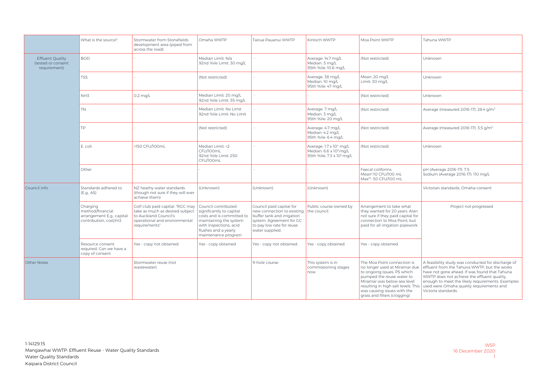|                                                               | What is the source?                                                                | Stormwater from Stonefields<br>development area (piped from<br>across the road)                                                                | Omaha WWTP                                                                                                                                                                      | Tairua-Pauanui WWTP                                                                                                                                              | Kinloch WWTP                                                                                           | Moa Point WWTP                                                                                                                                                                                                                                                | Tahuna WWTP                                                                                                                                                                                                                                                                                                               |
|---------------------------------------------------------------|------------------------------------------------------------------------------------|------------------------------------------------------------------------------------------------------------------------------------------------|---------------------------------------------------------------------------------------------------------------------------------------------------------------------------------|------------------------------------------------------------------------------------------------------------------------------------------------------------------|--------------------------------------------------------------------------------------------------------|---------------------------------------------------------------------------------------------------------------------------------------------------------------------------------------------------------------------------------------------------------------|---------------------------------------------------------------------------------------------------------------------------------------------------------------------------------------------------------------------------------------------------------------------------------------------------------------------------|
| <b>Effluent Quality</b><br>(tested or consent<br>requirement) | <b>BOD</b>                                                                         |                                                                                                                                                | Median Limit: N/a<br>92nd %ile Limit: 30 mg/L                                                                                                                                   |                                                                                                                                                                  | Average: 14.7 mg/L<br>Median: 5 mg/L<br>95th %ile: 10.6 ma/L                                           | (Not restricted)                                                                                                                                                                                                                                              | Unknown                                                                                                                                                                                                                                                                                                                   |
|                                                               | <b>TSS</b>                                                                         |                                                                                                                                                | (Not restricted)                                                                                                                                                                |                                                                                                                                                                  | Average: 38 mg/L<br>Median: 10 mg/L<br>95th %ile: 47 mg/L                                              | Mean: 20 mg/L<br>Limit: 30 mg/L                                                                                                                                                                                                                               | Unknown                                                                                                                                                                                                                                                                                                                   |
|                                                               | NH3                                                                                | $0.2$ mg/L                                                                                                                                     | Median Limit: 20 mg/L<br>92nd %ile Limit: 35 mg/L                                                                                                                               |                                                                                                                                                                  |                                                                                                        | (Not restricted)                                                                                                                                                                                                                                              | Unknown                                                                                                                                                                                                                                                                                                                   |
|                                                               | <b>TN</b>                                                                          |                                                                                                                                                | Median Limit: No Limit<br>92nd %ile Limit: No Limit                                                                                                                             |                                                                                                                                                                  | Average: 7 mg/L<br>Median: 3 mg/L<br>95th %ile: 20 mg/L                                                | (Not restricted)                                                                                                                                                                                                                                              | Average (measured 2016-17): 28.4 g/m <sup>3</sup>                                                                                                                                                                                                                                                                         |
|                                                               | <b>TP</b>                                                                          |                                                                                                                                                | (Not restricted)                                                                                                                                                                |                                                                                                                                                                  | Average: 4.7 mg/L<br>Median: 4.2 mg/L<br>95th %ile: 6.4 mg/L                                           | (Not restricted)                                                                                                                                                                                                                                              | Average (measured 2016-17): 3.5 g/m <sup>3</sup>                                                                                                                                                                                                                                                                          |
|                                                               | E. coli                                                                            | >150 CFU/100mL                                                                                                                                 | Median Limit: <2<br>CFU/100mL<br>92nd %ile Limit: 250<br>CFU/100mL                                                                                                              |                                                                                                                                                                  | Average: 1.7 x 104 mg/L<br>Median: 6.6 x 10 <sup>3</sup> mg/L<br>95th %ile: 7.3 x 10 <sup>4</sup> mg/L | (Not restricted)                                                                                                                                                                                                                                              | Unknown                                                                                                                                                                                                                                                                                                                   |
|                                                               | Other                                                                              |                                                                                                                                                |                                                                                                                                                                                 |                                                                                                                                                                  |                                                                                                        | Faecal coliforms:<br>Mean*:10 CFU/100 mL<br>Max**: 50 CFU/100 mL                                                                                                                                                                                              | pH (Average 2016-17): 7.5<br>Sodium (Average 2016-17): 110 mg/L                                                                                                                                                                                                                                                           |
| Council info                                                  | Standards adhered to<br>(E.g., AS)                                                 | NZ heathy water standards<br>(though not sure if they will ever<br>achieve them)                                                               | (Unknown)                                                                                                                                                                       | (Unknown)                                                                                                                                                        | (Unknown)                                                                                              |                                                                                                                                                                                                                                                               | Victorian standards. Omaha consent                                                                                                                                                                                                                                                                                        |
|                                                               | Charging<br>method/financial<br>arrangement E.g., capital<br>contribution, cost/m3 | Golf club paid capital. "RGC may<br>take as much as desired subject<br>to Auckland Council's<br>operational and environmental<br>requirements" | Council contributed<br>significantly to capital<br>costs and is committed to<br>maintaining the system<br>with inspections, acid<br>flushes and a yearly<br>maintenance program | Council paid capital for<br>new connection to existing<br>buffer tank and irrigation<br>system. Agreement for GC<br>to pay low rate for reuse<br>water supplied. | Public course owned by<br>the council.                                                                 | Arrangement to take what<br>they wanted for 20 years. Alan<br>not sure if they paid capital for<br>connection to Moa Point, but<br>paid for all irrigation pipework                                                                                           | Project not progressed                                                                                                                                                                                                                                                                                                    |
|                                                               | Resource consent<br>required. Can we have a<br>copy of consent                     | Yes - copy not obtained.                                                                                                                       | Yes - copy obtained                                                                                                                                                             | Yes - copy not obtained.                                                                                                                                         | Yes - copy obtained.                                                                                   | Yes - copy obtained                                                                                                                                                                                                                                           |                                                                                                                                                                                                                                                                                                                           |
| Other Notes                                                   |                                                                                    | Stormwater reuse (not<br>wastewater).                                                                                                          |                                                                                                                                                                                 | 9-hole course.                                                                                                                                                   | This system is in<br>commissioning stages<br>now.                                                      | The Moa Point connection is<br>no longer used at Miramar due<br>to ongoing issues. PS which<br>pumped the reuse water to<br>Miramar was below sea level<br>resulting in high salt levels. This<br>was causing issues with the<br>grass and filters (clogging) | A feasibility study was conducted for discharge of<br>effluent from the Tahuna WWTP, but the works<br>have not gone ahead. If was found that Tahuna<br>WWTP does not achieve the effluent quality,<br>enough to meet the likely requirements. Examples<br>used were Omaha quality requirements and<br>Victoria standards. |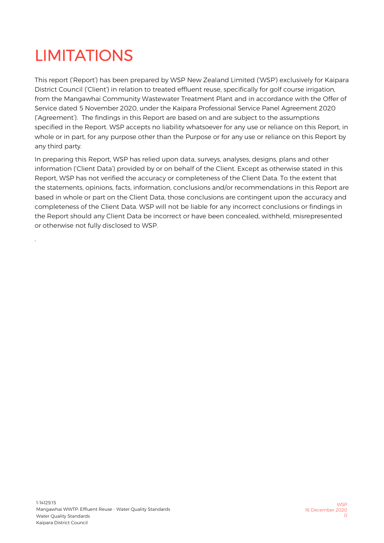### <span id="page-24-0"></span>LIMITATIONS

.

This report ('Report') has been prepared by WSP New Zealand Limited ('WSP') exclusively for Kaipara District Council ('Client') in relation to treated effluent reuse, specifically for golf course irrigation, from the Mangawhai Community Wastewater Treatment Plant and in accordance with the Offer of Service dated 5 November 2020, under the Kaipara Professional Service Panel Agreement 2020 ('Agreement'). The findings in this Report are based on and are subject to the assumptions specified in the Report. WSP accepts no liability whatsoever for any use or reliance on this Report, in whole or in part, for any purpose other than the Purpose or for any use or reliance on this Report by any third party.

In preparing this Report, WSP has relied upon data, surveys, analyses, designs, plans and other information ('Client Data') provided by or on behalf of the Client. Except as otherwise stated in this Report, WSP has not verified the accuracy or completeness of the Client Data. To the extent that the statements, opinions, facts, information, conclusions and/or recommendations in this Report are based in whole or part on the Client Data, those conclusions are contingent upon the accuracy and completeness of the Client Data. WSP will not be liable for any incorrect conclusions or findings in the Report should any Client Data be incorrect or have been concealed, withheld, misrepresented or otherwise not fully disclosed to WSP.